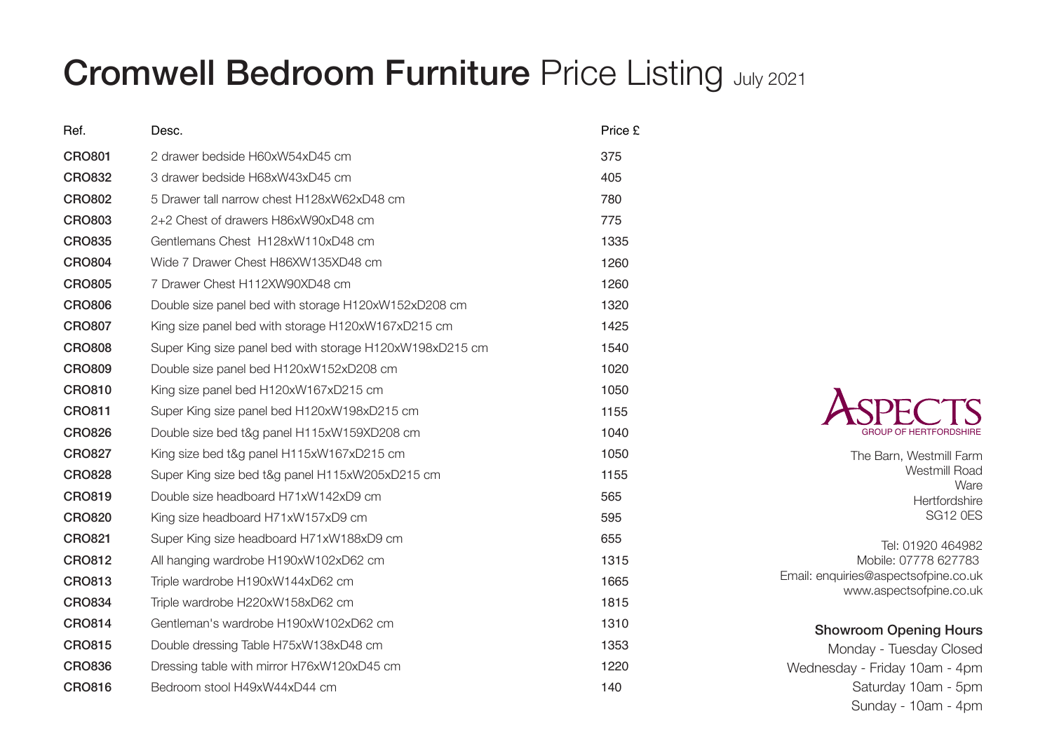## Cromwell Bedroom Furniture Price Listing July 2021

| Ref.          | Desc.                                                    | Price £ |
|---------------|----------------------------------------------------------|---------|
| <b>CRO801</b> | 2 drawer bedside H60xW54xD45 cm                          | 375     |
| <b>CRO832</b> | 3 drawer bedside H68xW43xD45 cm                          | 405     |
| <b>CRO802</b> | 5 Drawer tall narrow chest H128xW62xD48 cm               | 780     |
| <b>CRO803</b> | 2+2 Chest of drawers H86xW90xD48 cm                      | 775     |
| <b>CRO835</b> | Gentlemans Chest H128xW110xD48 cm                        | 1335    |
| <b>CRO804</b> | Wide 7 Drawer Chest H86XW135XD48 cm                      | 1260    |
| <b>CRO805</b> | 7 Drawer Chest H112XW90XD48 cm                           | 1260    |
| <b>CRO806</b> | Double size panel bed with storage H120xW152xD208 cm     | 1320    |
| <b>CRO807</b> | King size panel bed with storage H120xW167xD215 cm       | 1425    |
| <b>CRO808</b> | Super King size panel bed with storage H120xW198xD215 cm | 1540    |
| <b>CRO809</b> | Double size panel bed H120xW152xD208 cm                  | 1020    |
| <b>CRO810</b> | King size panel bed H120xW167xD215 cm                    | 1050    |
| <b>CRO811</b> | Super King size panel bed H120xW198xD215 cm              | 1155    |
| <b>CRO826</b> | Double size bed t&g panel H115xW159XD208 cm              | 1040    |
| <b>CRO827</b> | King size bed t&g panel H115xW167xD215 cm                | 1050    |
| <b>CRO828</b> | Super King size bed t&g panel H115xW205xD215 cm          | 1155    |
| <b>CRO819</b> | Double size headboard H71xW142xD9 cm                     | 565     |
| <b>CRO820</b> | King size headboard H71xW157xD9 cm                       | 595     |
| <b>CRO821</b> | Super King size headboard H71xW188xD9 cm                 | 655     |
| <b>CRO812</b> | All hanging wardrobe H190xW102xD62 cm                    | 1315    |
| <b>CRO813</b> | Triple wardrobe H190xW144xD62 cm                         | 1665    |
| <b>CRO834</b> | Triple wardrobe H220xW158xD62 cm                         | 1815    |
| <b>CRO814</b> | Gentleman's wardrobe H190xW102xD62 cm                    | 1310    |
| <b>CRO815</b> | Double dressing Table H75xW138xD48 cm                    | 1353    |
| <b>CRO836</b> | Dressing table with mirror H76xW120xD45 cm               | 1220    |
| <b>CRO816</b> | Bedroom stool H49xW44xD44 cm                             | 140     |
|               |                                                          |         |



The Barn, Westmill Farm Westmill Road Ware **Hertfordshire** SG12 0ES

Tel: 01920 464982 Mobile: 07778 627783 Email: enquiries@aspectsofpine.co.uk www.aspectsofpine.co.uk

## Showroom Opening Hours

Monday - Tuesday Closed Wednesday - Friday 10am - 4pm Saturday 10am - 5pm Sunday - 10am - 4pm